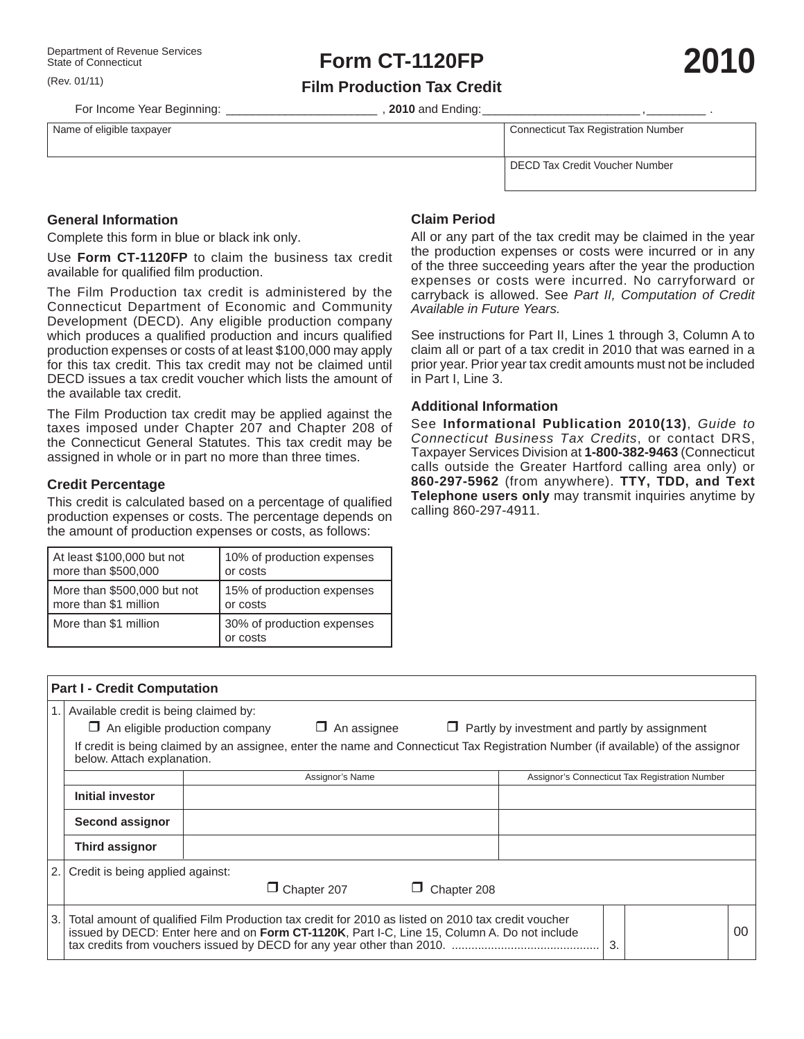(Rev. 01/11)

For Income Year Beginning: \_\_\_\_\_\_\_\_\_\_\_\_\_\_\_\_\_\_\_\_\_\_\_\_\_\_\_\_\_\_\_\_\_\_, 2010 and Ending:

**Film Production Tax Credit**

Name of eligible taxpayer **Name of eligible taxpayer** Connecticut Tax Registration Number

DECD Tax Credit Voucher Number

**General Information**

Complete this form in blue or black ink only.

Use **Form CT-1120FP** to claim the business tax credit available for qualified film production.

The Film Production tax credit is administered by the Connecticut Department of Economic and Community Development (DECD). Any eligible production company which produces a qualified production and incurs qualified production expenses or costs of at least \$100,000 may apply for this tax credit. This tax credit may not be claimed until DECD issues a tax credit voucher which lists the amount of the available tax credit.

The Film Production tax credit may be applied against the taxes imposed under Chapter 207 and Chapter 208 of the Connecticut General Statutes. This tax credit may be assigned in whole or in part no more than three times.

## **Credit Percentage**

**Part I - Credit Computation**

This credit is calculated based on a percentage of qualified production expenses or costs. The percentage depends on the amount of production expenses or costs, as follows:

| At least \$100,000 but not  | 10% of production expenses             |  |  |
|-----------------------------|----------------------------------------|--|--|
| more than \$500,000         | or costs                               |  |  |
| More than \$500,000 but not | 15% of production expenses             |  |  |
| more than \$1 million       | or costs                               |  |  |
| More than \$1 million       | 30% of production expenses<br>or costs |  |  |

# **Claim Period**

All or any part of the tax credit may be claimed in the year the production expenses or costs were incurred or in any of the three succeeding years after the year the production expenses or costs were incurred. No carryforward or carryback is allowed. See *Part II, Computation of Credit Available in Future Years.*

See instructions for Part II, Lines 1 through 3, Column A to claim all or part of a tax credit in 2010 that was earned in a prior year. Prior year tax credit amounts must not be included in Part I, Line 3.

#### **Additional Information**

See **Informational Publication 2010(13)**, *Guide to Connecticut Business Tax Credits*, or contact DRS, Taxpayer Services Division at **1-800-382-9463** (Connecticut calls outside the Greater Hartford calling area only) or **860-297-5962** (from anywhere). **TTY, TDD, and Text Telephone users only** may transmit inquiries anytime by calling 860-297-4911.

|        | Available credit is being claimed by:                                                                                                                                                              |                                                      |                    |             |  |    |  |    |  |
|--------|----------------------------------------------------------------------------------------------------------------------------------------------------------------------------------------------------|------------------------------------------------------|--------------------|-------------|--|----|--|----|--|
|        | $\Box$ An eligible production company                                                                                                                                                              | $\Box$ Partly by investment and partly by assignment |                    |             |  |    |  |    |  |
|        | If credit is being claimed by an assignee, enter the name and Connecticut Tax Registration Number (if available) of the assignor<br>below. Attach explanation.                                     |                                                      |                    |             |  |    |  |    |  |
|        |                                                                                                                                                                                                    | Assignor's Connecticut Tax Registration Number       |                    |             |  |    |  |    |  |
|        | Initial investor                                                                                                                                                                                   |                                                      |                    |             |  |    |  |    |  |
|        | Second assignor                                                                                                                                                                                    |                                                      |                    |             |  |    |  |    |  |
|        | <b>Third assignor</b>                                                                                                                                                                              |                                                      |                    |             |  |    |  |    |  |
| 2.1    | Credit is being applied against:                                                                                                                                                                   |                                                      |                    |             |  |    |  |    |  |
|        |                                                                                                                                                                                                    |                                                      | $\Box$ Chapter 207 | Chapter 208 |  |    |  |    |  |
| l 3. l | Total amount of qualified Film Production tax credit for 2010 as listed on 2010 tax credit voucher<br>issued by DECD: Enter here and on Form CT-1120K, Part I-C, Line 15, Column A. Do not include |                                                      |                    |             |  | 3. |  | 00 |  |